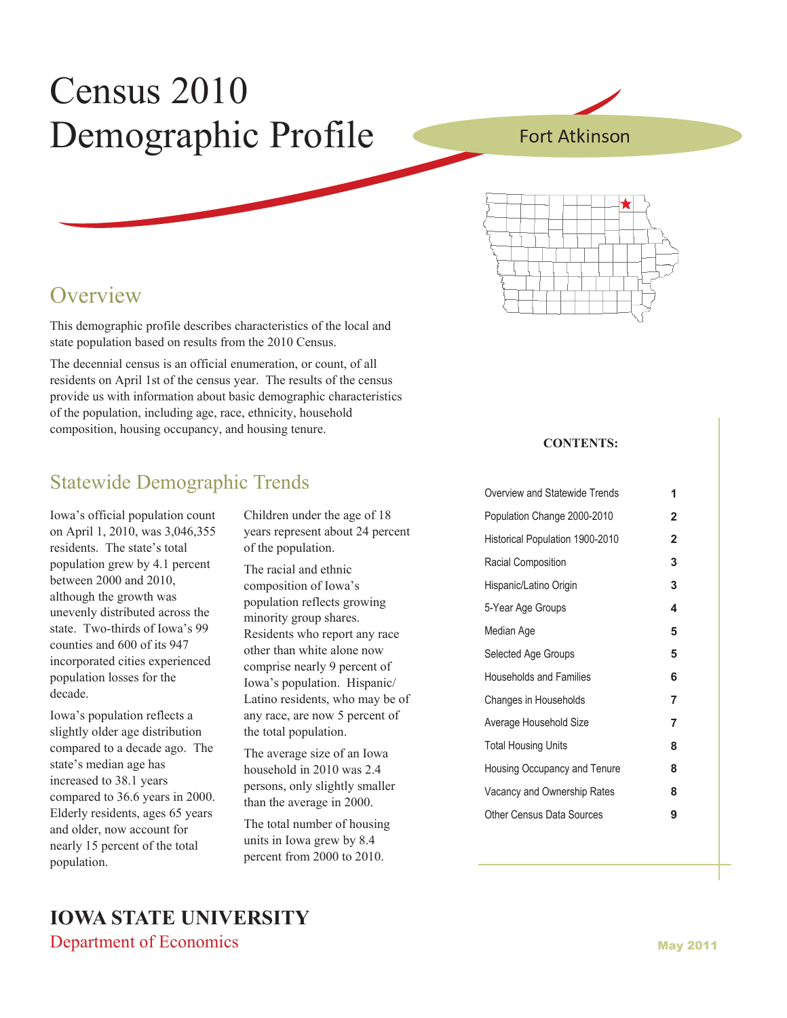# Census 2010 Demographic Profile

Fort Atkinson



### **Overview**

This demographic profile describes characteristics of the local and state population based on results from the 2010 Census.

The decennial census is an official enumeration, or count, of all residents on April 1st of the census year. The results of the census provide us with information about basic demographic characteristics of the population, including age, race, ethnicity, household composition, housing occupancy, and housing tenure.

### Statewide Demographic Trends

Iowa's official population count on April 1, 2010, was 3,046,355 residents. The state's total population grew by 4.1 percent between 2000 and 2010, although the growth was unevenly distributed across the state. Two-thirds of Iowa's 99 counties and 600 of its 947 incorporated cities experienced population losses for the decade.

Iowa's population reflects a slightly older age distribution compared to a decade ago. The state's median age has increased to 38.1 years compared to 36.6 years in 2000. Elderly residents, ages 65 years and older, now account for nearly 15 percent of the total population.

Children under the age of 18 years represent about 24 percent of the population.

The racial and ethnic composition of Iowa's population reflects growing minority group shares. Residents who report any race other than white alone now comprise nearly 9 percent of Iowa's population. Hispanic/ Latino residents, who may be of any race, are now 5 percent of the total population.

The average size of an Iowa household in 2010 was 2.4 persons, only slightly smaller than the average in 2000.

The total number of housing units in Iowa grew by 8.4 percent from 2000 to 2010.

#### **CONTENTS:**

| Overview and Statewide Trends   | 1              |
|---------------------------------|----------------|
| Population Change 2000-2010     | $\overline{2}$ |
| Historical Population 1900-2010 | $\overline{2}$ |
| Racial Composition              | 3              |
| Hispanic/Latino Origin          | 3              |
| 5-Year Age Groups               | 4              |
| Median Age                      | 5              |
| Selected Age Groups             | 5              |
| <b>Households and Families</b>  | 6              |
| Changes in Households           | 7              |
| Average Household Size          | 7              |
| <b>Total Housing Units</b>      | 8              |
| Housing Occupancy and Tenure    | 8              |
| Vacancy and Ownership Rates     | 8              |
| Other Census Data Sources       | 9              |
|                                 |                |

### **IOWA STATE UNIVERSITY**  Department of Economics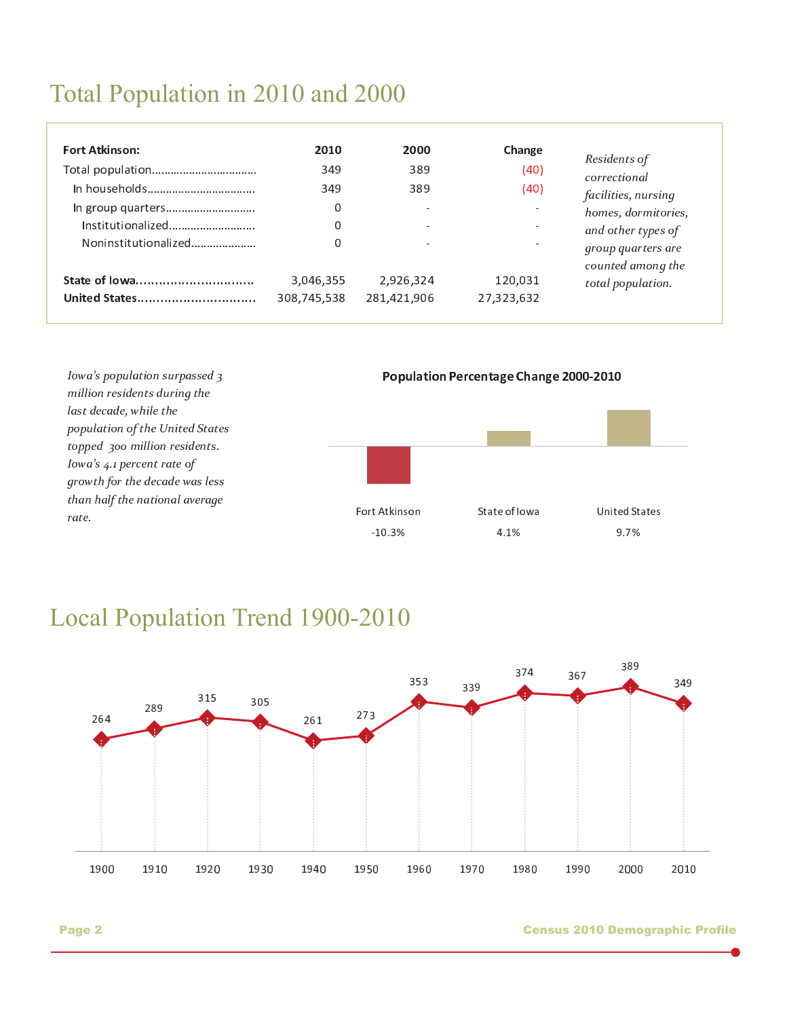# Total Population in 2010 and 2000

| <b>Fort Atkinson:</b><br>In group quarters<br>Institutionalized<br>Noninstitutionalized | 2010<br>349<br>349<br>0<br>0<br>0 | 2000<br>389<br>389 | Change<br>(40)<br>(40) | Residents of<br>correctional<br>facilities, nursing<br>homes, dormitories,<br>and other types of<br>group quarters are |
|-----------------------------------------------------------------------------------------|-----------------------------------|--------------------|------------------------|------------------------------------------------------------------------------------------------------------------------|
| State of lowa                                                                           | 3,046,355                         | 2,926,324          | 120,031                | counted among the                                                                                                      |
| United States                                                                           | 308,745,538                       | 281,421,906        | 27,323,632             | total population.                                                                                                      |



**Local Population Trend 1900-2010** 



Page 2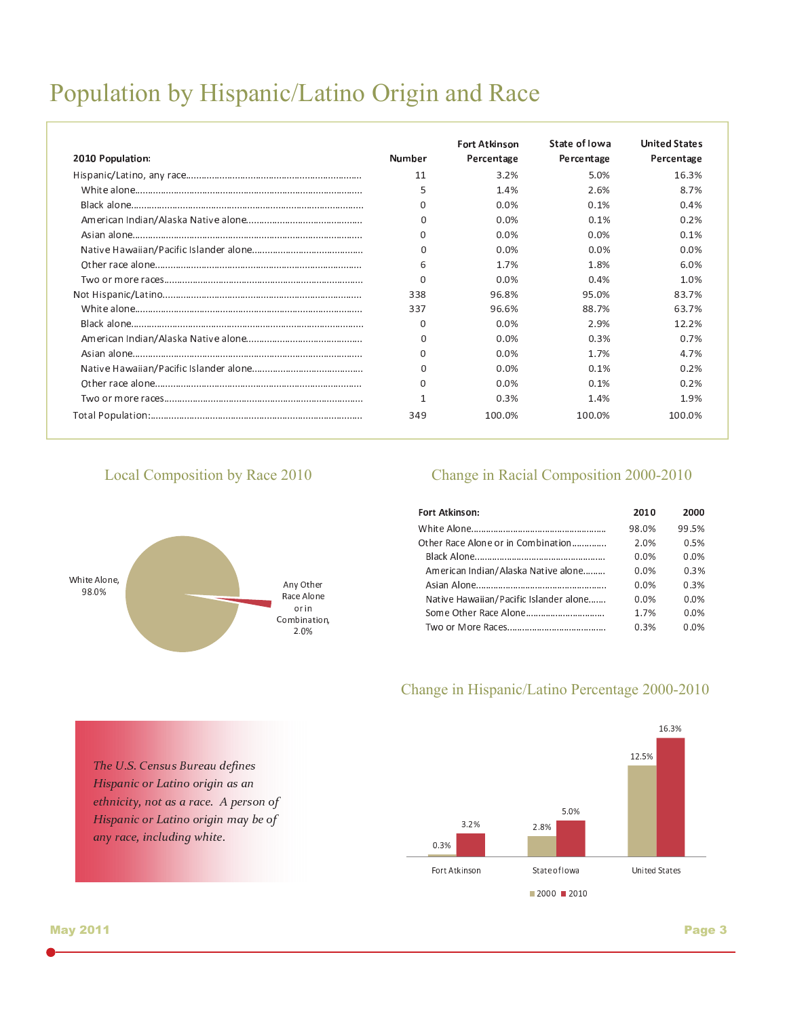# Population by Hispanic/Latino Origin and Race

|                  |          | <b>Fort Atkinson</b> | State of lowa | <b>United States</b> |
|------------------|----------|----------------------|---------------|----------------------|
| 2010 Population: | Number   | Percentage           | Percentage    | Percentage           |
|                  | 11       | 3.2%                 | 5.0%          | 16.3%                |
|                  | 5        | 1.4%                 | 2.6%          | 8.7%                 |
|                  | 0        | 0.0%                 | 0.1%          | 0.4%                 |
|                  | 0        | 0.0%                 | 0.1%          | 0.2%                 |
|                  | 0        | $0.0\%$              | 0.0%          | 0.1%                 |
|                  | 0        | 0.0%                 | 0.0%          | $0.0\%$              |
|                  | 6        | 1.7%                 | 1.8%          | 6.0%                 |
|                  | U        | 0.0%                 | 0.4%          | 1.0%                 |
|                  | 338      | 96.8%                | 95.0%         | 83.7%                |
|                  | 337      | 96.6%                | 88.7%         | 63.7%                |
|                  | 0        | 0.0%                 | 2.9%          | 12.2%                |
|                  | $\Omega$ | 0.0%                 | 0.3%          | 0.7%                 |
|                  | 0        | 0.0%                 | 1.7%          | 4.7%                 |
|                  | 0        | 0.0%                 | 0.1%          | 0.2%                 |
|                  | 0        | $0.0\%$              | 0.1%          | 0.2%                 |
|                  |          | 0.3%                 | 1.4%          | 1.9%                 |
|                  | 349      | 100.0%               | 100.0%        | 100.0%               |

### Local Composition by Race 2010



The U.S. Census Bureau defines Hispanic or Latino origin as an ethnicity, not as a race. A person of

any race, including white.

Hispanic or Latino origin may be of

### Change in Racial Composition 2000-2010

| Fort Atkinson:                         | 2010  | 2000  |
|----------------------------------------|-------|-------|
|                                        | 98.0% | 99.5% |
| Other Race Alone or in Combination     | 2.0%  | 0.5%  |
|                                        | 0 0%  | 0.0%  |
| American Indian/Alaska Native alone    |       | 0.3%  |
|                                        | 0.0%  | 0.3%  |
| Native Hawaiian/Pacific Islander alone | 0 ዐ%  | 0.0%  |
|                                        | 1 7%  | 0.0%  |
|                                        | 0.3%  | 0.0%  |
|                                        |       |       |

### Change in Hispanic/Latino Percentage 2000-2010

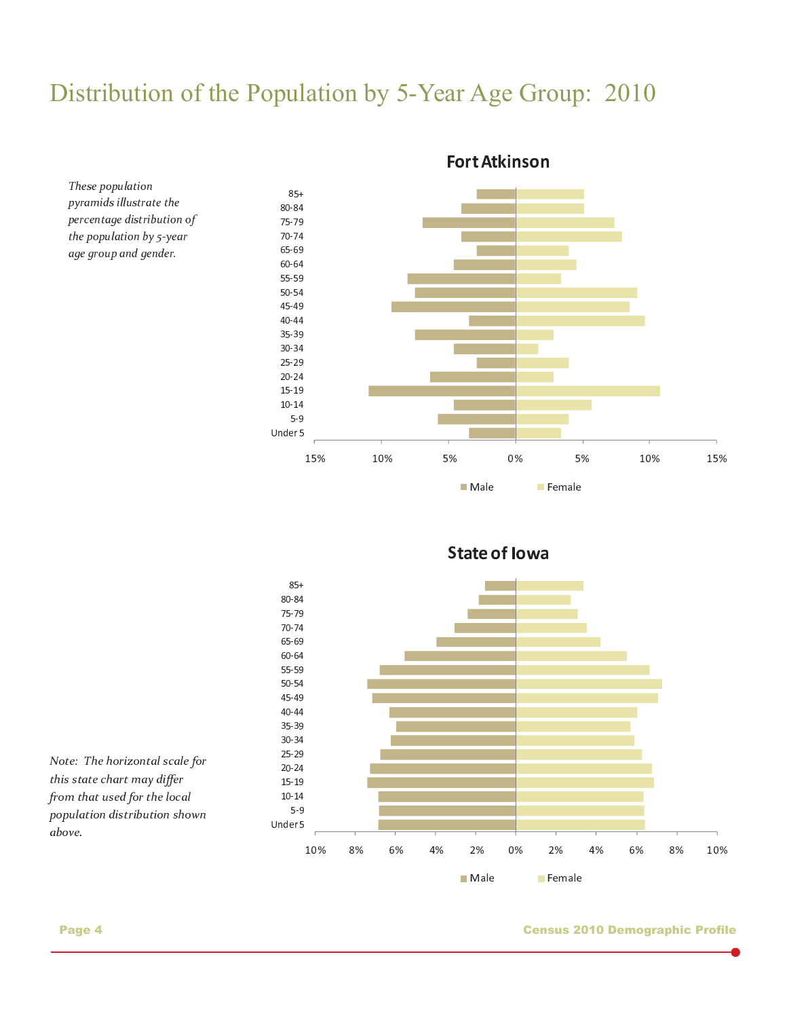# Distribution of the Population by 5-Year Age Group: 2010



Fort Atkinson



<sup>r</sup> <sup>r</sup> <sup>p</sup> <sup>p</sup>

Note: The horizontal scale for  $this$  at at a almost we are  $diff_a$  $f_{1}, \ldots, f_{k}$  ,  $f_{k}, \ldots, f_{k}$  ,  $f_{k}$  ,  $f_{k}$  ,  $f_{k}$ population distribution shown above.

These population pyramids illustrate the percentage distribution of the population by 5-year age group and gender.

#### Page 4 Census 2010 Demographic Profile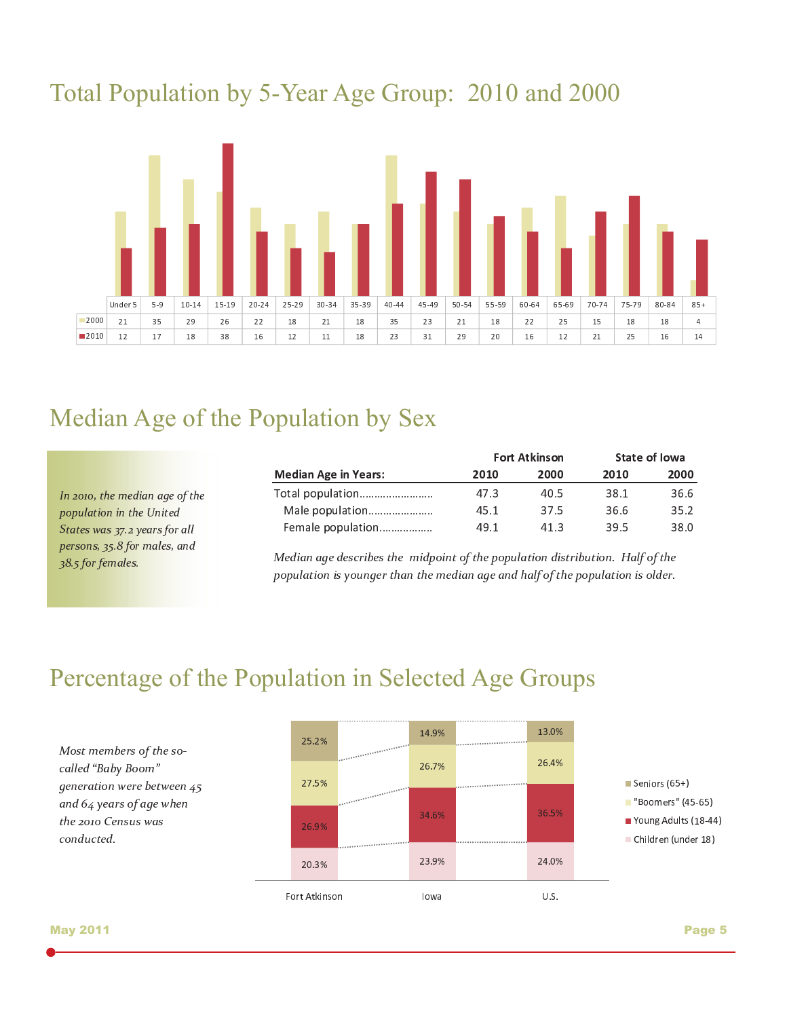# Total Population by 5-Year Age Group: 2010 and 2000



# Median Age of the Population by Sex

In 2010, the median age of the population in the United  $\overline{z}$  , and the following the following  $\overline{z}$ persons, 35.8 for males, and 38.5 for females.

|      |      | State of Iowa |      |  |
|------|------|---------------|------|--|
| 2010 | 2000 | 2010          | 2000 |  |
| 47.3 | 40.5 | 38.1          | 36.6 |  |
| 45.1 | 37.5 | 36.6          | 35.2 |  |
| 49.1 | 41.3 | 39.5          | 38.0 |  |
|      |      | Fort Atkinson |      |  |

<sup>Ø</sup> <sup>Ù</sup> <sup>º</sup> <sup>Ú</sup> · <sup>Ú</sup> <sup>Û</sup> ´ ¶ » <sup>Ù</sup> ¶ <sup>Ü</sup> <sup>Ú</sup> <sup>µ</sup> <sup>Ú</sup> <sup>²</sup> <sup>Ù</sup> <sup>Ý</sup> <sup>Þ</sup> <sup>Ù</sup> <sup>ß</sup> <sup>µ</sup>

 $$ nonulation is younger than the modian age and holf of the nonulation is older

# Percentage of the Population in Selected Age Groups

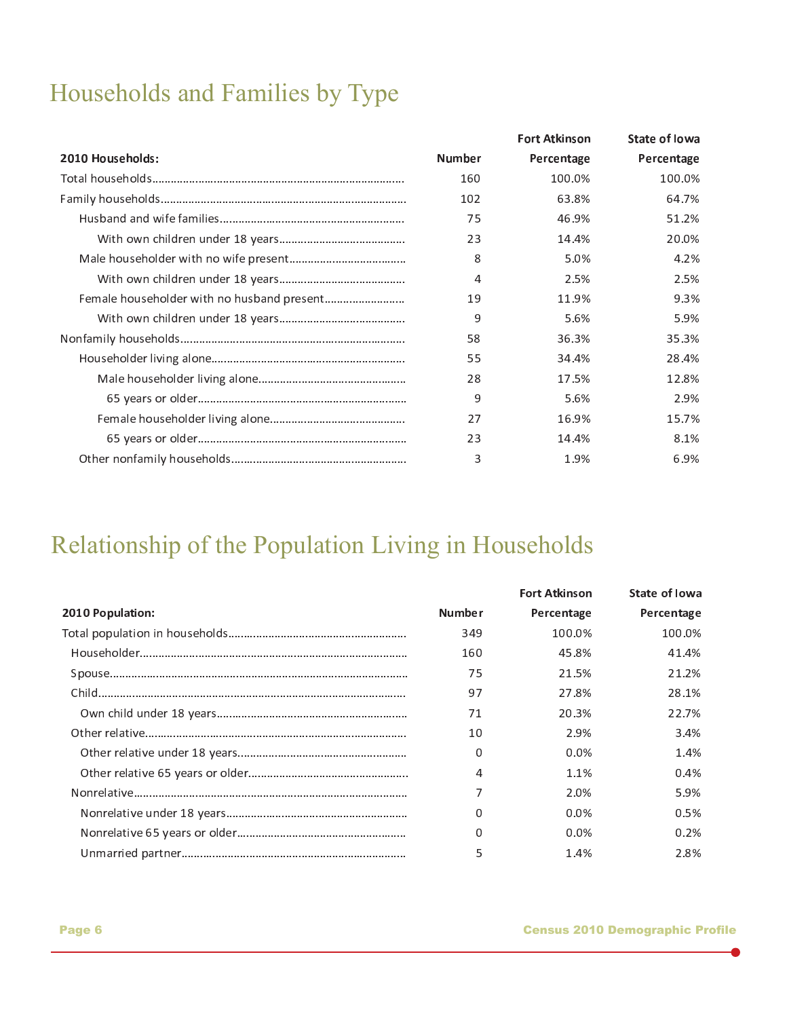# Households and Families by Type

|                  |               | <b>Fort Atkinson</b> | <b>State of lowa</b> |
|------------------|---------------|----------------------|----------------------|
| 2010 Households: | <b>Number</b> | Percentage           | Percentage           |
|                  | 160           | 100.0%               | 100.0%               |
|                  | 102           | 63.8%                | 64.7%                |
|                  | 75            | 46.9%                | 51.2%                |
|                  | 23            | 14.4%                | 20.0%                |
|                  | 8             | 5.0%                 | 4.2%                 |
|                  | 4             | 2.5%                 | 2.5%                 |
|                  | 19            | 11.9%                | 9.3%                 |
|                  | 9             | 5.6%                 | 5.9%                 |
|                  | 58            | 36.3%                | 35.3%                |
|                  | 55            | 34.4%                | 28.4%                |
|                  | 28            | 17.5%                | 12.8%                |
|                  | 9             | 5.6%                 | 2.9%                 |
|                  | 27            | 16.9%                | 15.7%                |
|                  | 23            | 14.4%                | 8.1%                 |
|                  | 3             | 1.9%                 | 6.9%                 |

# Relationship of the Population Living in Households

|                  |               | <b>Fort Atkinson</b> | State of lowa |
|------------------|---------------|----------------------|---------------|
| 2010 Population: | <b>Number</b> | Percentage           | Percentage    |
|                  | 349           | 100.0%               | 100.0%        |
|                  | 160           | 45.8%                | 41.4%         |
|                  | 75            | 21.5%                | 21.2%         |
|                  | 97            | 27.8%                | 28.1%         |
|                  | 71            | 20.3%                | 22.7%         |
|                  | 10            | 2.9%                 | 3.4%          |
|                  | 0             | $0.0\%$              | 1.4%          |
|                  | 4             | 1.1%                 | 0.4%          |
|                  | 7             | 2.0%                 | 5.9%          |
|                  | $\Omega$      | $0.0\%$              | 0.5%          |
|                  | 0             | $0.0\%$              | $0.2\%$       |
|                  | 5             | 1.4%                 | 2.8%          |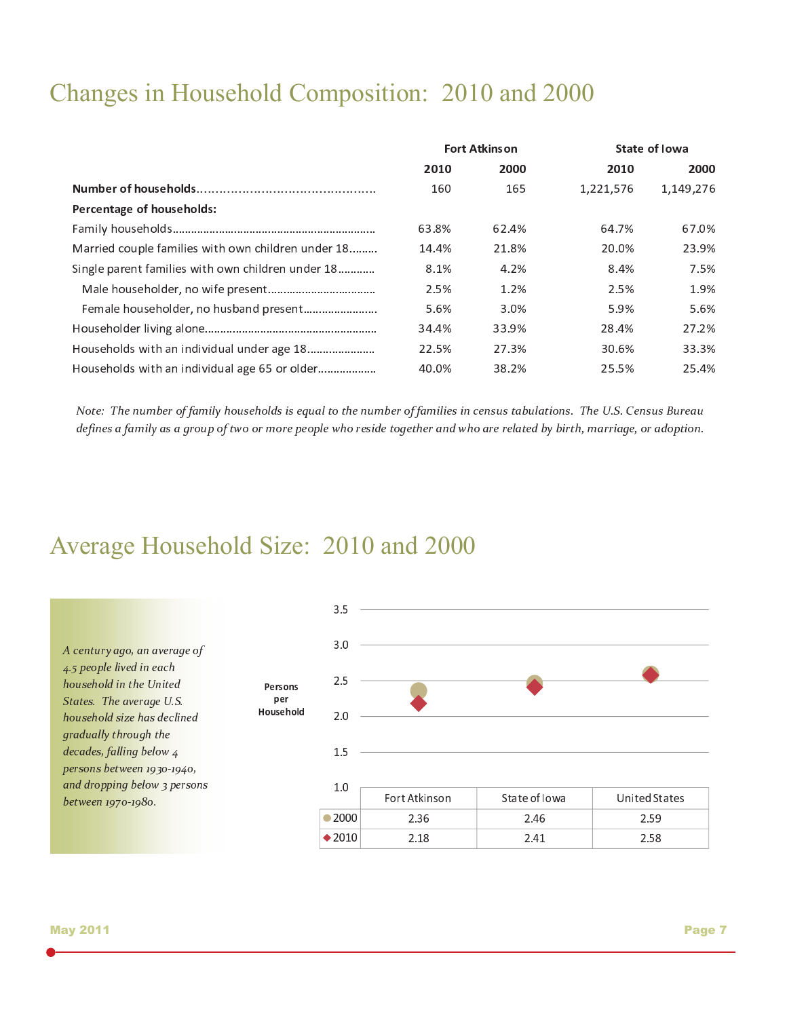# Changes in Household Composition: 2010 and 2000

|                                                    | <b>Fort Atkinson</b> |       |           | State of Iowa |
|----------------------------------------------------|----------------------|-------|-----------|---------------|
|                                                    | 2010                 | 2000  | 2010      | 2000          |
|                                                    | 160                  | 165   | 1,221,576 | 1,149,276     |
| Percentage of households:                          |                      |       |           |               |
|                                                    | 63.8%                | 62.4% | 64.7%     | 67.0%         |
| Married couple families with own children under 18 | 14.4%                | 21.8% | 20.0%     | 23.9%         |
| Single parent families with own children under 18  | 8.1%                 | 4.2%  | 8.4%      | 7.5%          |
|                                                    | 2.5%                 | 1.2%  | 2.5%      | 1.9%          |
|                                                    | 5.6%                 | 3.0%  | 5.9%      | 5.6%          |
|                                                    | 34.4%                | 33.9% | 28.4%     | 27.2%         |
|                                                    | 22.5%                | 27.3% | 30.6%     | 33.3%         |
| Households with an individual age 65 or older      | 40.0%                | 38.2% | 25.5%     | 25.4%         |

 $N_{i+1}, T_{i+1}, \ldots, T_{i+m}$  ,  $k_{i+1}, \ldots, k_{i+1}, \ldots, k_{i+1}, \ldots, T_{i+m}$  ,  $k_{i+1}, \ldots, k_{i+1}, \ldots, T_{i+1}, \ldots, T_{i+1}, \ldots, T_{i+1}, \ldots, T_{i+m}$ defines a family as a group of two or more people who reside together and who are related by birth, marriage, or adoption '

# Average Household Size: 2010 and 2000

|                                                                                  |                  | 3.5              |               |               |                      |
|----------------------------------------------------------------------------------|------------------|------------------|---------------|---------------|----------------------|
| A century ago, an average of                                                     |                  | 3.0              |               |               |                      |
| 4.5 people lived in each<br>household in the United                              | Persons          | 2.5              |               |               |                      |
| States. The average U.S.<br>household size has declined<br>gradually through the | per<br>Household | 2.0              |               |               |                      |
| decades, falling below 4<br>persons between 1930-1940,                           |                  | 1.5              |               |               |                      |
| and dropping below 3 persons                                                     |                  | 1.0              | Fort Atkinson | State of Iowa | <b>United States</b> |
| between 1970-1980.                                                               |                  | $\bullet$ 2000   | 2.36          | 2.46          | 2.59                 |
|                                                                                  |                  | $\triangle$ 2010 | 2.18          | 2.41          | 2.58                 |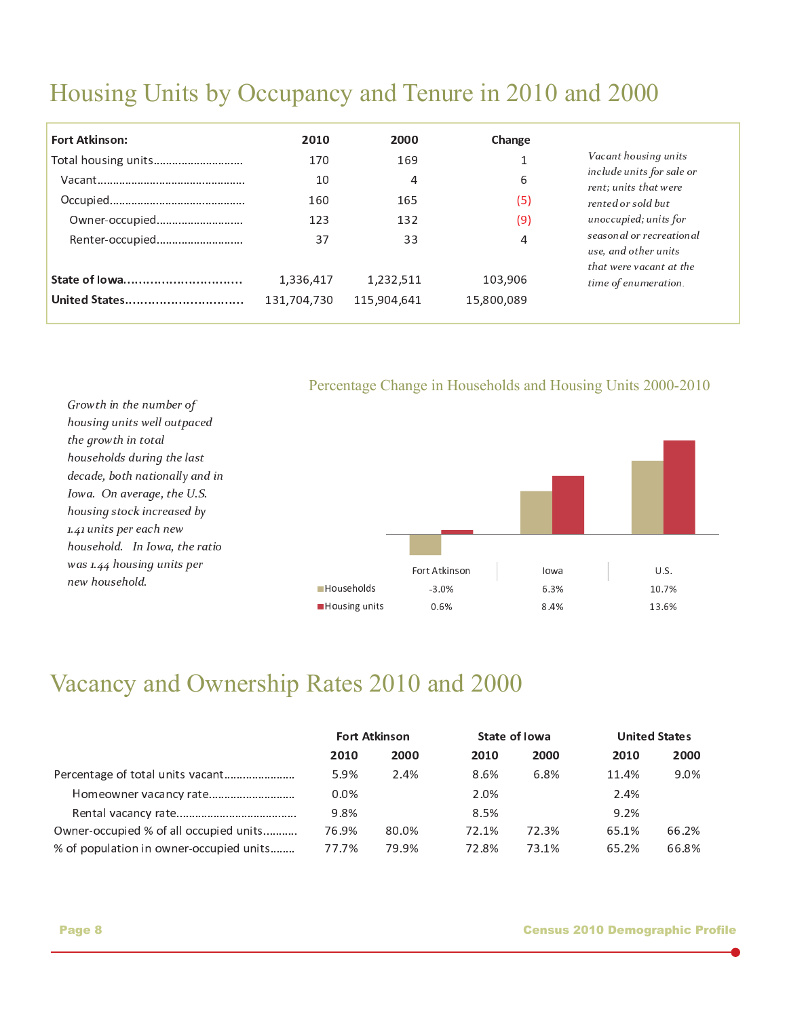# Housing Units by Occupancy and Tenure in 2010 and 2000

| <b>Fort Atkinson:</b> | 2010        | 2000        | Change     |                                                   |
|-----------------------|-------------|-------------|------------|---------------------------------------------------|
| Total housing units   | 170         | 169         |            | Vacant housing units<br>include units for sale or |
|                       | 10          | 4           | 6          | rent; units that were                             |
|                       | 160         | 165         | (5)        | rented or sold but                                |
| Owner-occupied        | 123         | 132         | (9)        | unoccupied; units for<br>seasonal or recreational |
| Renter-occupied       | 37          | 33          | 4          | use, and other units<br>that were vacant at the   |
| State of lowa         | 1,336,417   | 1,232,511   | 103,906    | time of enumeration.                              |
| United States         | 131,704,730 | 115,904,641 | 15,800,089 |                                                   |

Percentage Change in Households and Housing Units 2000-2010



# Vacancy and Ownership Rates 2010 and 2000

|                                         | <b>Fort Atkinson</b> |       | State of Iowa |       | <b>United States</b> |       |
|-----------------------------------------|----------------------|-------|---------------|-------|----------------------|-------|
|                                         | 2010                 | 2000  | 2010          | 2000  | 2010                 | 2000  |
| Percentage of total units vacant        | 5.9%                 | 2.4%  | 8.6%          | 6.8%  | 11.4%                | 9.0%  |
|                                         | $0.0\%$              |       | 2.0%          |       | 2.4%                 |       |
|                                         | 9.8%                 |       | 8.5%          |       | 9.2%                 |       |
| Owner-occupied % of all occupied units  | 76.9%                | 80.0% | 72.1%         | 72.3% | 65.1%                | 66.2% |
| % of population in owner-occupied units | 77.7%                | 79.9% | 72.8%         | 73.1% | 65.2%                | 66.8% |